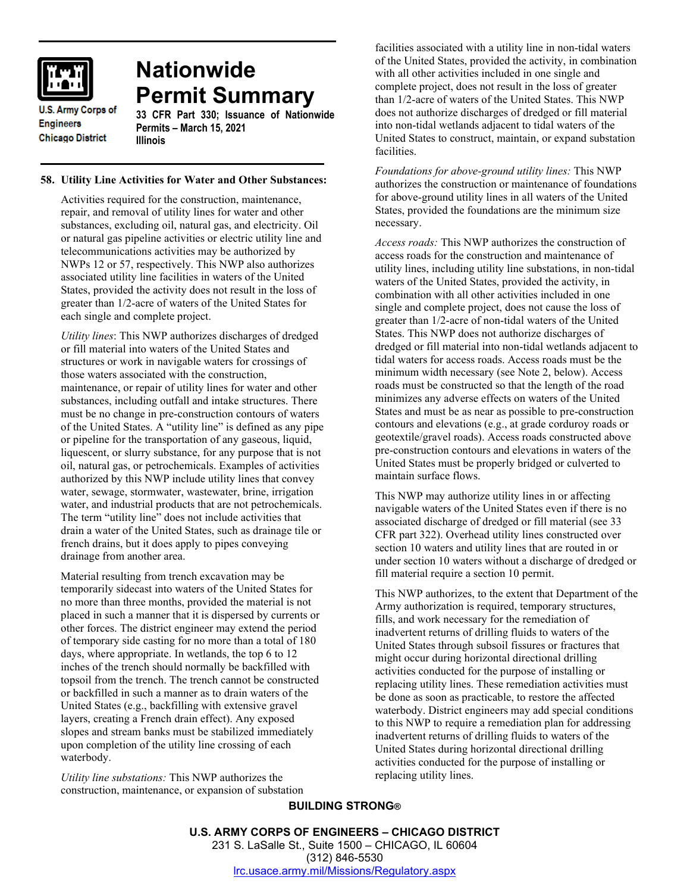

**Nationwide Permit Summary**

**U.S. Army Corps of Engineers Chicago District** 

**33 CFR Part 330; Issuance of Nationwide Permits – March 15, 2021 Illinois**

## **58. Utility Line Activities for Water and Other Substances:**

Activities required for the construction, maintenance, repair, and removal of utility lines for water and other substances, excluding oil, natural gas, and electricity. Oil or natural gas pipeline activities or electric utility line and telecommunications activities may be authorized by NWPs 12 or 57, respectively. This NWP also authorizes associated utility line facilities in waters of the United States, provided the activity does not result in the loss of greater than 1/2-acre of waters of the United States for each single and complete project.

*Utility lines*: This NWP authorizes discharges of dredged or fill material into waters of the United States and structures or work in navigable waters for crossings of those waters associated with the construction, maintenance, or repair of utility lines for water and other substances, including outfall and intake structures. There must be no change in pre-construction contours of waters of the United States. A "utility line" is defined as any pipe or pipeline for the transportation of any gaseous, liquid, liquescent, or slurry substance, for any purpose that is not oil, natural gas, or petrochemicals. Examples of activities authorized by this NWP include utility lines that convey water, sewage, stormwater, wastewater, brine, irrigation water, and industrial products that are not petrochemicals. The term "utility line" does not include activities that drain a water of the United States, such as drainage tile or french drains, but it does apply to pipes conveying drainage from another area.

Material resulting from trench excavation may be temporarily sidecast into waters of the United States for no more than three months, provided the material is not placed in such a manner that it is dispersed by currents or other forces. The district engineer may extend the period of temporary side casting for no more than a total of 180 days, where appropriate. In wetlands, the top 6 to 12 inches of the trench should normally be backfilled with topsoil from the trench. The trench cannot be constructed or backfilled in such a manner as to drain waters of the United States (e.g., backfilling with extensive gravel layers, creating a French drain effect). Any exposed slopes and stream banks must be stabilized immediately upon completion of the utility line crossing of each waterbody.

*Utility line substations:* This NWP authorizes the construction, maintenance, or expansion of substation facilities associated with a utility line in non-tidal waters of the United States, provided the activity, in combination with all other activities included in one single and complete project, does not result in the loss of greater than 1/2-acre of waters of the United States. This NWP does not authorize discharges of dredged or fill material into non-tidal wetlands adjacent to tidal waters of the United States to construct, maintain, or expand substation facilities.

*Foundations for above-ground utility lines:* This NWP authorizes the construction or maintenance of foundations for above-ground utility lines in all waters of the United States, provided the foundations are the minimum size necessary.

*Access roads:* This NWP authorizes the construction of access roads for the construction and maintenance of utility lines, including utility line substations, in non-tidal waters of the United States, provided the activity, in combination with all other activities included in one single and complete project, does not cause the loss of greater than 1/2-acre of non-tidal waters of the United States. This NWP does not authorize discharges of dredged or fill material into non-tidal wetlands adjacent to tidal waters for access roads. Access roads must be the minimum width necessary (see Note 2, below). Access roads must be constructed so that the length of the road minimizes any adverse effects on waters of the United States and must be as near as possible to pre-construction contours and elevations (e.g., at grade corduroy roads or geotextile/gravel roads). Access roads constructed above pre-construction contours and elevations in waters of the United States must be properly bridged or culverted to maintain surface flows.

This NWP may authorize utility lines in or affecting navigable waters of the United States even if there is no associated discharge of dredged or fill material (see 33 CFR part 322). Overhead utility lines constructed over section 10 waters and utility lines that are routed in or under section 10 waters without a discharge of dredged or fill material require a section 10 permit.

This NWP authorizes, to the extent that Department of the Army authorization is required, temporary structures, fills, and work necessary for the remediation of inadvertent returns of drilling fluids to waters of the United States through subsoil fissures or fractures that might occur during horizontal directional drilling activities conducted for the purpose of installing or replacing utility lines. These remediation activities must be done as soon as practicable, to restore the affected waterbody. District engineers may add special conditions to this NWP to require a remediation plan for addressing inadvertent returns of drilling fluids to waters of the United States during horizontal directional drilling activities conducted for the purpose of installing or replacing utility lines.

# **BUILDING STRONG®**

**U.S. ARMY CORPS OF ENGINEERS – CHICAGO DISTRICT** 231 S. LaSalle St., Suite 1500 – CHICAGO, IL 60604 (312) 846-5530 [lrc.usace.army.mil/Missions/Regulatory.aspx](https://www.lrc.usace.army.mil/Missions/Regulatory.aspx)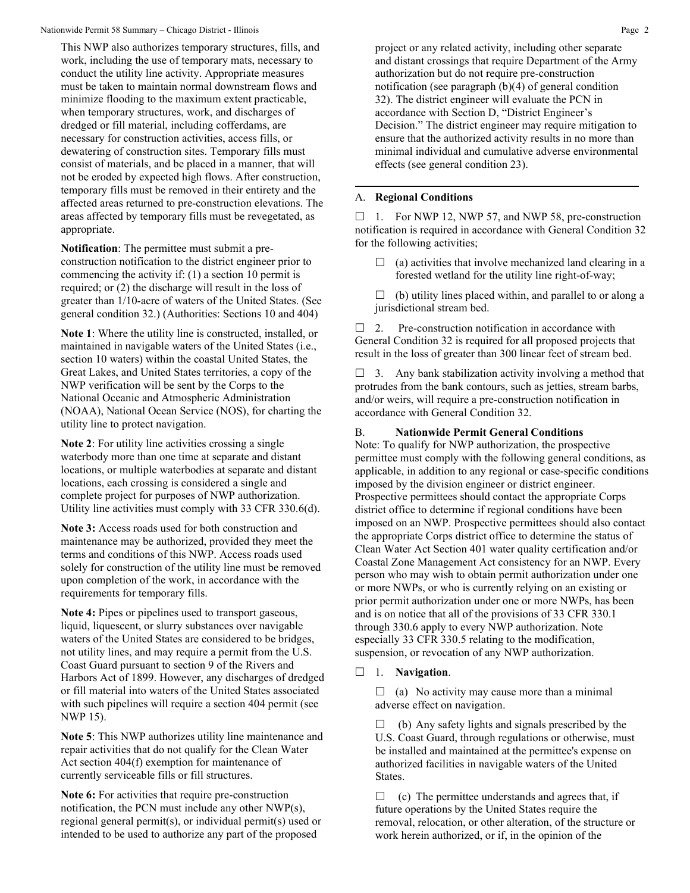This NWP also authorizes temporary structures, fills, and work, including the use of temporary mats, necessary to conduct the utility line activity. Appropriate measures must be taken to maintain normal downstream flows and minimize flooding to the maximum extent practicable, when temporary structures, work, and discharges of dredged or fill material, including cofferdams, are necessary for construction activities, access fills, or dewatering of construction sites. Temporary fills must consist of materials, and be placed in a manner, that will not be eroded by expected high flows. After construction, temporary fills must be removed in their entirety and the affected areas returned to pre-construction elevations. The areas affected by temporary fills must be revegetated, as appropriate.

**Notification**: The permittee must submit a preconstruction notification to the district engineer prior to commencing the activity if: (1) a section 10 permit is required; or (2) the discharge will result in the loss of greater than 1/10-acre of waters of the United States. (See general condition 32.) (Authorities: Sections 10 and 404)

**Note 1**: Where the utility line is constructed, installed, or maintained in navigable waters of the United States (i.e., section 10 waters) within the coastal United States, the Great Lakes, and United States territories, a copy of the NWP verification will be sent by the Corps to the National Oceanic and Atmospheric Administration (NOAA), National Ocean Service (NOS), for charting the utility line to protect navigation.

**Note 2**: For utility line activities crossing a single waterbody more than one time at separate and distant locations, or multiple waterbodies at separate and distant locations, each crossing is considered a single and complete project for purposes of NWP authorization. Utility line activities must comply with 33 CFR 330.6(d).

**Note 3:** Access roads used for both construction and maintenance may be authorized, provided they meet the terms and conditions of this NWP. Access roads used solely for construction of the utility line must be removed upon completion of the work, in accordance with the requirements for temporary fills.

**Note 4:** Pipes or pipelines used to transport gaseous, liquid, liquescent, or slurry substances over navigable waters of the United States are considered to be bridges, not utility lines, and may require a permit from the U.S. Coast Guard pursuant to section 9 of the Rivers and Harbors Act of 1899. However, any discharges of dredged or fill material into waters of the United States associated with such pipelines will require a section 404 permit (see NWP 15).

**Note 5**: This NWP authorizes utility line maintenance and repair activities that do not qualify for the Clean Water Act section 404(f) exemption for maintenance of currently serviceable fills or fill structures.

**Note 6:** For activities that require pre-construction notification, the PCN must include any other NWP(s), regional general permit(s), or individual permit(s) used or intended to be used to authorize any part of the proposed

project or any related activity, including other separate and distant crossings that require Department of the Army authorization but do not require pre-construction notification (see paragraph (b)(4) of general condition 32). The district engineer will evaluate the PCN in accordance with Section D, "District Engineer's Decision." The district engineer may require mitigation to ensure that the authorized activity results in no more than minimal individual and cumulative adverse environmental effects (see general condition 23).

#### A. **Regional Conditions**

 $\Box$  1. For NWP 12, NWP 57, and NWP 58, pre-construction notification is required in accordance with General Condition 32 for the following activities;

- $\Box$  (a) activities that involve mechanized land clearing in a forested wetland for the utility line right-of-way;
- $\Box$  (b) utility lines placed within, and parallel to or along a jurisdictional stream bed.

 $\Box$  2. Pre-construction notification in accordance with General Condition 32 is required for all proposed projects that result in the loss of greater than 300 linear feet of stream bed.

 $\Box$  3. Any bank stabilization activity involving a method that protrudes from the bank contours, such as jetties, stream barbs, and/or weirs, will require a pre-construction notification in accordance with General Condition 32.

#### B. **Nationwide Permit General Conditions**

Note: To qualify for NWP authorization, the prospective permittee must comply with the following general conditions, as applicable, in addition to any regional or case-specific conditions imposed by the division engineer or district engineer. Prospective permittees should contact the appropriate Corps district office to determine if regional conditions have been imposed on an NWP. Prospective permittees should also contact the appropriate Corps district office to determine the status of Clean Water Act Section 401 water quality certification and/or Coastal Zone Management Act consistency for an NWP. Every person who may wish to obtain permit authorization under one or more NWPs, or who is currently relying on an existing or prior permit authorization under one or more NWPs, has been and is on notice that all of the provisions of 33 CFR 330.1 through 330.6 apply to every NWP authorization. Note especially 33 CFR 330.5 relating to the modification, suspension, or revocation of any NWP authorization.

1. **Navigation**.

 $\Box$  (a) No activity may cause more than a minimal adverse effect on navigation.

 $\Box$  (b) Any safety lights and signals prescribed by the U.S. Coast Guard, through regulations or otherwise, must be installed and maintained at the permittee's expense on authorized facilities in navigable waters of the United States.

 $\Box$  (c) The permittee understands and agrees that, if future operations by the United States require the removal, relocation, or other alteration, of the structure or work herein authorized, or if, in the opinion of the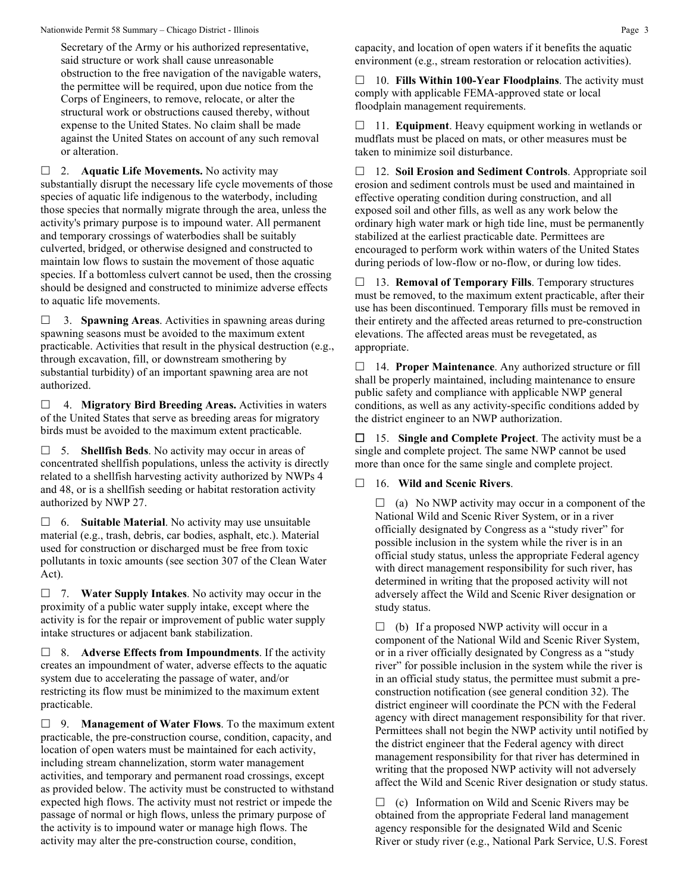Secretary of the Army or his authorized representative, said structure or work shall cause unreasonable obstruction to the free navigation of the navigable waters, the permittee will be required, upon due notice from the Corps of Engineers, to remove, relocate, or alter the structural work or obstructions caused thereby, without expense to the United States. No claim shall be made against the United States on account of any such removal or alteration.

□ 2. **Aquatic Life Movements.** No activity may substantially disrupt the necessary life cycle movements of those species of aquatic life indigenous to the waterbody, including those species that normally migrate through the area, unless the activity's primary purpose is to impound water. All permanent and temporary crossings of waterbodies shall be suitably culverted, bridged, or otherwise designed and constructed to maintain low flows to sustain the movement of those aquatic species. If a bottomless culvert cannot be used, then the crossing should be designed and constructed to minimize adverse effects to aquatic life movements.

 3. **Spawning Areas**. Activities in spawning areas during spawning seasons must be avoided to the maximum extent practicable. Activities that result in the physical destruction (e.g., through excavation, fill, or downstream smothering by substantial turbidity) of an important spawning area are not authorized.

 4. **Migratory Bird Breeding Areas.** Activities in waters of the United States that serve as breeding areas for migratory birds must be avoided to the maximum extent practicable.

 5. **Shellfish Beds**. No activity may occur in areas of concentrated shellfish populations, unless the activity is directly related to a shellfish harvesting activity authorized by NWPs 4 and 48, or is a shellfish seeding or habitat restoration activity authorized by NWP 27.

 6. **Suitable Material**. No activity may use unsuitable material (e.g., trash, debris, car bodies, asphalt, etc.). Material used for construction or discharged must be free from toxic pollutants in toxic amounts (see section 307 of the Clean Water Act).

 7. **Water Supply Intakes**. No activity may occur in the proximity of a public water supply intake, except where the activity is for the repair or improvement of public water supply intake structures or adjacent bank stabilization.

 8. **Adverse Effects from Impoundments**. If the activity creates an impoundment of water, adverse effects to the aquatic system due to accelerating the passage of water, and/or restricting its flow must be minimized to the maximum extent practicable.

 9. **Management of Water Flows**. To the maximum extent practicable, the pre-construction course, condition, capacity, and location of open waters must be maintained for each activity, including stream channelization, storm water management activities, and temporary and permanent road crossings, except as provided below. The activity must be constructed to withstand expected high flows. The activity must not restrict or impede the passage of normal or high flows, unless the primary purpose of the activity is to impound water or manage high flows. The activity may alter the pre-construction course, condition,

capacity, and location of open waters if it benefits the aquatic environment (e.g., stream restoration or relocation activities).

 10. **Fills Within 100-Year Floodplains**. The activity must comply with applicable FEMA-approved state or local floodplain management requirements.

□ 11. **Equipment**. Heavy equipment working in wetlands or mudflats must be placed on mats, or other measures must be taken to minimize soil disturbance.

 12. **Soil Erosion and Sediment Controls**. Appropriate soil erosion and sediment controls must be used and maintained in effective operating condition during construction, and all exposed soil and other fills, as well as any work below the ordinary high water mark or high tide line, must be permanently stabilized at the earliest practicable date. Permittees are encouraged to perform work within waters of the United States during periods of low-flow or no-flow, or during low tides.

 13. **Removal of Temporary Fills**. Temporary structures must be removed, to the maximum extent practicable, after their use has been discontinued. Temporary fills must be removed in their entirety and the affected areas returned to pre-construction elevations. The affected areas must be revegetated, as appropriate.

 14. **Proper Maintenance**. Any authorized structure or fill shall be properly maintained, including maintenance to ensure public safety and compliance with applicable NWP general conditions, as well as any activity-specific conditions added by the district engineer to an NWP authorization.

 15. **Single and Complete Project**. The activity must be a single and complete project. The same NWP cannot be used more than once for the same single and complete project.

## 16. **Wild and Scenic Rivers**.

 $\Box$  (a) No NWP activity may occur in a component of the National Wild and Scenic River System, or in a river officially designated by Congress as a "study river" for possible inclusion in the system while the river is in an official study status, unless the appropriate Federal agency with direct management responsibility for such river, has determined in writing that the proposed activity will not adversely affect the Wild and Scenic River designation or study status.

 $\Box$  (b) If a proposed NWP activity will occur in a component of the National Wild and Scenic River System, or in a river officially designated by Congress as a "study river" for possible inclusion in the system while the river is in an official study status, the permittee must submit a preconstruction notification (see general condition 32). The district engineer will coordinate the PCN with the Federal agency with direct management responsibility for that river. Permittees shall not begin the NWP activity until notified by the district engineer that the Federal agency with direct management responsibility for that river has determined in writing that the proposed NWP activity will not adversely affect the Wild and Scenic River designation or study status.

 $\Box$  (c) Information on Wild and Scenic Rivers may be obtained from the appropriate Federal land management agency responsible for the designated Wild and Scenic River or study river (e.g., National Park Service, U.S. Forest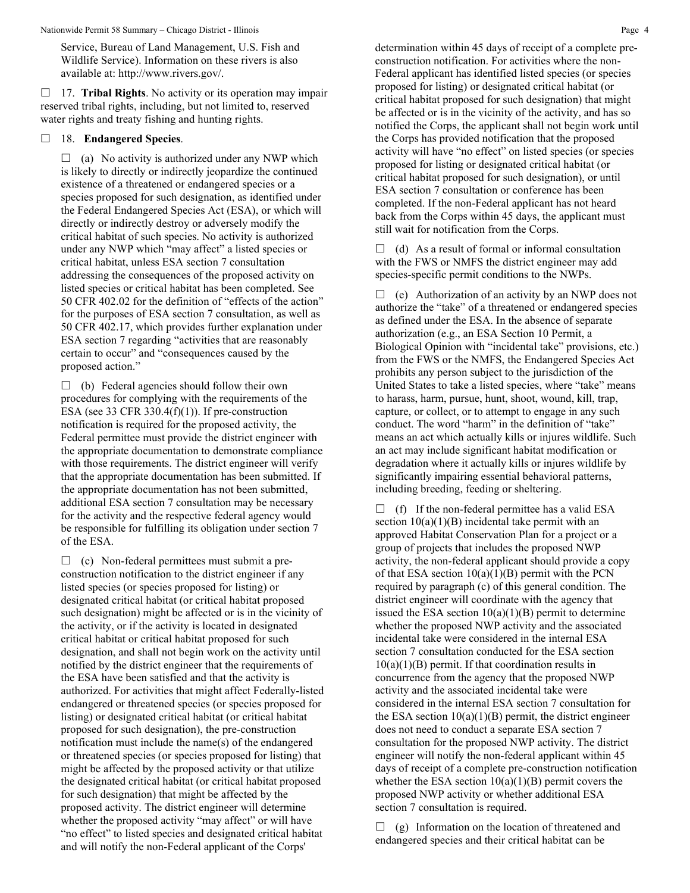Service, Bureau of Land Management, U.S. Fish and Wildlife Service). Information on these rivers is also available at: http://www.rivers.gov/.

 17. **Tribal Rights**. No activity or its operation may impair reserved tribal rights, including, but not limited to, reserved water rights and treaty fishing and hunting rights.

#### 18. **Endangered Species**.

 $\Box$  (a) No activity is authorized under any NWP which is likely to directly or indirectly jeopardize the continued existence of a threatened or endangered species or a species proposed for such designation, as identified under the Federal Endangered Species Act (ESA), or which will directly or indirectly destroy or adversely modify the critical habitat of such species. No activity is authorized under any NWP which "may affect" a listed species or critical habitat, unless ESA section 7 consultation addressing the consequences of the proposed activity on listed species or critical habitat has been completed. See 50 CFR 402.02 for the definition of "effects of the action" for the purposes of ESA section 7 consultation, as well as 50 CFR 402.17, which provides further explanation under ESA section 7 regarding "activities that are reasonably certain to occur" and "consequences caused by the proposed action."

 $\Box$  (b) Federal agencies should follow their own procedures for complying with the requirements of the ESA (see 33 CFR 330.4 $(f)(1)$ ). If pre-construction notification is required for the proposed activity, the Federal permittee must provide the district engineer with the appropriate documentation to demonstrate compliance with those requirements. The district engineer will verify that the appropriate documentation has been submitted. If the appropriate documentation has not been submitted, additional ESA section 7 consultation may be necessary for the activity and the respective federal agency would be responsible for fulfilling its obligation under section 7 of the ESA.

 $\Box$  (c) Non-federal permittees must submit a preconstruction notification to the district engineer if any listed species (or species proposed for listing) or designated critical habitat (or critical habitat proposed such designation) might be affected or is in the vicinity of the activity, or if the activity is located in designated critical habitat or critical habitat proposed for such designation, and shall not begin work on the activity until notified by the district engineer that the requirements of the ESA have been satisfied and that the activity is authorized. For activities that might affect Federally-listed endangered or threatened species (or species proposed for listing) or designated critical habitat (or critical habitat proposed for such designation), the pre-construction notification must include the name(s) of the endangered or threatened species (or species proposed for listing) that might be affected by the proposed activity or that utilize the designated critical habitat (or critical habitat proposed for such designation) that might be affected by the proposed activity. The district engineer will determine whether the proposed activity "may affect" or will have "no effect" to listed species and designated critical habitat and will notify the non-Federal applicant of the Corps'

determination within 45 days of receipt of a complete preconstruction notification. For activities where the non-Federal applicant has identified listed species (or species proposed for listing) or designated critical habitat (or critical habitat proposed for such designation) that might be affected or is in the vicinity of the activity, and has so notified the Corps, the applicant shall not begin work until the Corps has provided notification that the proposed activity will have "no effect" on listed species (or species proposed for listing or designated critical habitat (or critical habitat proposed for such designation), or until ESA section 7 consultation or conference has been completed. If the non-Federal applicant has not heard back from the Corps within 45 days, the applicant must still wait for notification from the Corps.

 $\Box$  (d) As a result of formal or informal consultation with the FWS or NMFS the district engineer may add species-specific permit conditions to the NWPs.

 $\Box$  (e) Authorization of an activity by an NWP does not authorize the "take" of a threatened or endangered species as defined under the ESA. In the absence of separate authorization (e.g., an ESA Section 10 Permit, a Biological Opinion with "incidental take" provisions, etc.) from the FWS or the NMFS, the Endangered Species Act prohibits any person subject to the jurisdiction of the United States to take a listed species, where "take" means to harass, harm, pursue, hunt, shoot, wound, kill, trap, capture, or collect, or to attempt to engage in any such conduct. The word "harm" in the definition of "take" means an act which actually kills or injures wildlife. Such an act may include significant habitat modification or degradation where it actually kills or injures wildlife by significantly impairing essential behavioral patterns, including breeding, feeding or sheltering.

 $\Box$  (f) If the non-federal permittee has a valid ESA section  $10(a)(1)(B)$  incidental take permit with an approved Habitat Conservation Plan for a project or a group of projects that includes the proposed NWP activity, the non-federal applicant should provide a copy of that ESA section  $10(a)(1)(B)$  permit with the PCN required by paragraph (c) of this general condition. The district engineer will coordinate with the agency that issued the ESA section  $10(a)(1)(B)$  permit to determine whether the proposed NWP activity and the associated incidental take were considered in the internal ESA section 7 consultation conducted for the ESA section  $10(a)(1)(B)$  permit. If that coordination results in concurrence from the agency that the proposed NWP activity and the associated incidental take were considered in the internal ESA section 7 consultation for the ESA section  $10(a)(1)(B)$  permit, the district engineer does not need to conduct a separate ESA section 7 consultation for the proposed NWP activity. The district engineer will notify the non-federal applicant within 45 days of receipt of a complete pre-construction notification whether the ESA section  $10(a)(1)(B)$  permit covers the proposed NWP activity or whether additional ESA section 7 consultation is required.

 $\Box$  (g) Information on the location of threatened and endangered species and their critical habitat can be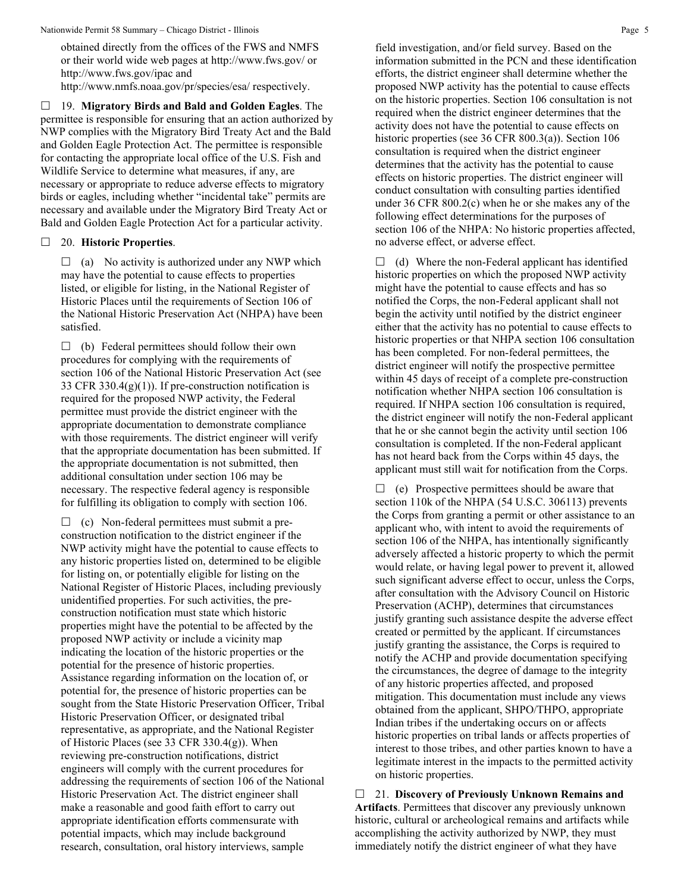obtained directly from the offices of the FWS and NMFS or their world wide web pages at http://www.fws.gov/ or http://www.fws.gov/ipac and

http://www.nmfs.noaa.gov/pr/species/esa/ respectively.

 19. **Migratory Birds and Bald and Golden Eagles**. The permittee is responsible for ensuring that an action authorized by NWP complies with the Migratory Bird Treaty Act and the Bald and Golden Eagle Protection Act. The permittee is responsible for contacting the appropriate local office of the U.S. Fish and Wildlife Service to determine what measures, if any, are necessary or appropriate to reduce adverse effects to migratory birds or eagles, including whether "incidental take" permits are necessary and available under the Migratory Bird Treaty Act or Bald and Golden Eagle Protection Act for a particular activity.

### 20. **Historic Properties**.

 $\Box$  (a) No activity is authorized under any NWP which may have the potential to cause effects to properties listed, or eligible for listing, in the National Register of Historic Places until the requirements of Section 106 of the National Historic Preservation Act (NHPA) have been satisfied.

 $\Box$  (b) Federal permittees should follow their own procedures for complying with the requirements of section 106 of the National Historic Preservation Act (see 33 CFR 330.4 $(g)(1)$ ). If pre-construction notification is required for the proposed NWP activity, the Federal permittee must provide the district engineer with the appropriate documentation to demonstrate compliance with those requirements. The district engineer will verify that the appropriate documentation has been submitted. If the appropriate documentation is not submitted, then additional consultation under section 106 may be necessary. The respective federal agency is responsible for fulfilling its obligation to comply with section 106.

 $\Box$  (c) Non-federal permittees must submit a preconstruction notification to the district engineer if the NWP activity might have the potential to cause effects to any historic properties listed on, determined to be eligible for listing on, or potentially eligible for listing on the National Register of Historic Places, including previously unidentified properties. For such activities, the preconstruction notification must state which historic properties might have the potential to be affected by the proposed NWP activity or include a vicinity map indicating the location of the historic properties or the potential for the presence of historic properties. Assistance regarding information on the location of, or potential for, the presence of historic properties can be sought from the State Historic Preservation Officer, Tribal Historic Preservation Officer, or designated tribal representative, as appropriate, and the National Register of Historic Places (see 33 CFR 330.4(g)). When reviewing pre-construction notifications, district engineers will comply with the current procedures for addressing the requirements of section 106 of the National Historic Preservation Act. The district engineer shall make a reasonable and good faith effort to carry out appropriate identification efforts commensurate with potential impacts, which may include background research, consultation, oral history interviews, sample

field investigation, and/or field survey. Based on the information submitted in the PCN and these identification efforts, the district engineer shall determine whether the proposed NWP activity has the potential to cause effects on the historic properties. Section 106 consultation is not required when the district engineer determines that the activity does not have the potential to cause effects on historic properties (see 36 CFR 800.3(a)). Section 106 consultation is required when the district engineer determines that the activity has the potential to cause effects on historic properties. The district engineer will conduct consultation with consulting parties identified under 36 CFR 800.2(c) when he or she makes any of the following effect determinations for the purposes of section 106 of the NHPA: No historic properties affected, no adverse effect, or adverse effect.

 $\Box$  (d) Where the non-Federal applicant has identified historic properties on which the proposed NWP activity might have the potential to cause effects and has so notified the Corps, the non-Federal applicant shall not begin the activity until notified by the district engineer either that the activity has no potential to cause effects to historic properties or that NHPA section 106 consultation has been completed. For non-federal permittees, the district engineer will notify the prospective permittee within 45 days of receipt of a complete pre-construction notification whether NHPA section 106 consultation is required. If NHPA section 106 consultation is required, the district engineer will notify the non-Federal applicant that he or she cannot begin the activity until section 106 consultation is completed. If the non-Federal applicant has not heard back from the Corps within 45 days, the applicant must still wait for notification from the Corps.

 $\Box$  (e) Prospective permittees should be aware that section 110k of the NHPA (54 U.S.C. 306113) prevents the Corps from granting a permit or other assistance to an applicant who, with intent to avoid the requirements of section 106 of the NHPA, has intentionally significantly adversely affected a historic property to which the permit would relate, or having legal power to prevent it, allowed such significant adverse effect to occur, unless the Corps, after consultation with the Advisory Council on Historic Preservation (ACHP), determines that circumstances justify granting such assistance despite the adverse effect created or permitted by the applicant. If circumstances justify granting the assistance, the Corps is required to notify the ACHP and provide documentation specifying the circumstances, the degree of damage to the integrity of any historic properties affected, and proposed mitigation. This documentation must include any views obtained from the applicant, SHPO/THPO, appropriate Indian tribes if the undertaking occurs on or affects historic properties on tribal lands or affects properties of interest to those tribes, and other parties known to have a legitimate interest in the impacts to the permitted activity on historic properties.

 21. **Discovery of Previously Unknown Remains and Artifacts**. Permittees that discover any previously unknown historic, cultural or archeological remains and artifacts while accomplishing the activity authorized by NWP, they must immediately notify the district engineer of what they have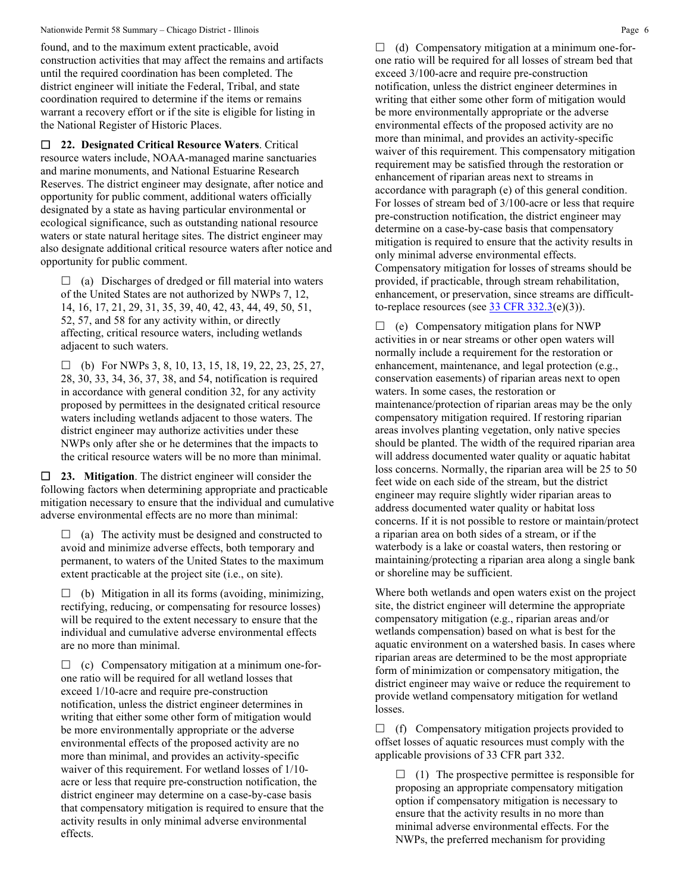found, and to the maximum extent practicable, avoid construction activities that may affect the remains and artifacts until the required coordination has been completed. The district engineer will initiate the Federal, Tribal, and state coordination required to determine if the items or remains warrant a recovery effort or if the site is eligible for listing in the National Register of Historic Places.

 **22. Designated Critical Resource Waters**. Critical resource waters include, NOAA-managed marine sanctuaries and marine monuments, and National Estuarine Research Reserves. The district engineer may designate, after notice and opportunity for public comment, additional waters officially designated by a state as having particular environmental or ecological significance, such as outstanding national resource waters or state natural heritage sites. The district engineer may also designate additional critical resource waters after notice and opportunity for public comment.

 $\Box$  (a) Discharges of dredged or fill material into waters of the United States are not authorized by NWPs 7, 12, 14, 16, 17, 21, 29, 31, 35, 39, 40, 42, 43, 44, 49, 50, 51, 52, 57, and 58 for any activity within, or directly affecting, critical resource waters, including wetlands adjacent to such waters.

 $\Box$  (b) For NWPs 3, 8, 10, 13, 15, 18, 19, 22, 23, 25, 27, 28, 30, 33, 34, 36, 37, 38, and 54, notification is required in accordance with general condition 32, for any activity proposed by permittees in the designated critical resource waters including wetlands adjacent to those waters. The district engineer may authorize activities under these NWPs only after she or he determines that the impacts to the critical resource waters will be no more than minimal.

 **23. Mitigation**. The district engineer will consider the following factors when determining appropriate and practicable mitigation necessary to ensure that the individual and cumulative adverse environmental effects are no more than minimal:

 $\Box$  (a) The activity must be designed and constructed to avoid and minimize adverse effects, both temporary and permanent, to waters of the United States to the maximum extent practicable at the project site (i.e., on site).

 $\Box$  (b) Mitigation in all its forms (avoiding, minimizing, rectifying, reducing, or compensating for resource losses) will be required to the extent necessary to ensure that the individual and cumulative adverse environmental effects are no more than minimal.

 $\Box$  (c) Compensatory mitigation at a minimum one-forone ratio will be required for all wetland losses that exceed 1/10-acre and require pre-construction notification, unless the district engineer determines in writing that either some other form of mitigation would be more environmentally appropriate or the adverse environmental effects of the proposed activity are no more than minimal, and provides an activity-specific waiver of this requirement. For wetland losses of 1/10 acre or less that require pre-construction notification, the district engineer may determine on a case-by-case basis that compensatory mitigation is required to ensure that the activity results in only minimal adverse environmental effects.

 $\Box$  (d) Compensatory mitigation at a minimum one-forone ratio will be required for all losses of stream bed that exceed 3/100-acre and require pre-construction notification, unless the district engineer determines in writing that either some other form of mitigation would be more environmentally appropriate or the adverse environmental effects of the proposed activity are no more than minimal, and provides an activity-specific waiver of this requirement. This compensatory mitigation requirement may be satisfied through the restoration or enhancement of riparian areas next to streams in accordance with paragraph (e) of this general condition. For losses of stream bed of 3/100-acre or less that require pre-construction notification, the district engineer may determine on a case-by-case basis that compensatory mitigation is required to ensure that the activity results in only minimal adverse environmental effects. Compensatory mitigation for losses of streams should be provided, if practicable, through stream rehabilitation, enhancement, or preservation, since streams are difficultto-replace resources (see  $33 \text{ CFR } 332.3(e)(3)$ ).

 $\Box$  (e) Compensatory mitigation plans for NWP activities in or near streams or other open waters will normally include a requirement for the restoration or enhancement, maintenance, and legal protection (e.g., conservation easements) of riparian areas next to open waters. In some cases, the restoration or maintenance/protection of riparian areas may be the only compensatory mitigation required. If restoring riparian areas involves planting vegetation, only native species should be planted. The width of the required riparian area will address documented water quality or aquatic habitat loss concerns. Normally, the riparian area will be 25 to 50 feet wide on each side of the stream, but the district engineer may require slightly wider riparian areas to address documented water quality or habitat loss concerns. If it is not possible to restore or maintain/protect a riparian area on both sides of a stream, or if the waterbody is a lake or coastal waters, then restoring or maintaining/protecting a riparian area along a single bank or shoreline may be sufficient.

Where both wetlands and open waters exist on the project site, the district engineer will determine the appropriate compensatory mitigation (e.g., riparian areas and/or wetlands compensation) based on what is best for the aquatic environment on a watershed basis. In cases where riparian areas are determined to be the most appropriate form of minimization or compensatory mitigation, the district engineer may waive or reduce the requirement to provide wetland compensatory mitigation for wetland losses.

 $\Box$  (f) Compensatory mitigation projects provided to offset losses of aquatic resources must comply with the applicable provisions of 33 CFR part 332.

 $\Box$  (1) The prospective permittee is responsible for proposing an appropriate compensatory mitigation option if compensatory mitigation is necessary to ensure that the activity results in no more than minimal adverse environmental effects. For the NWPs, the preferred mechanism for providing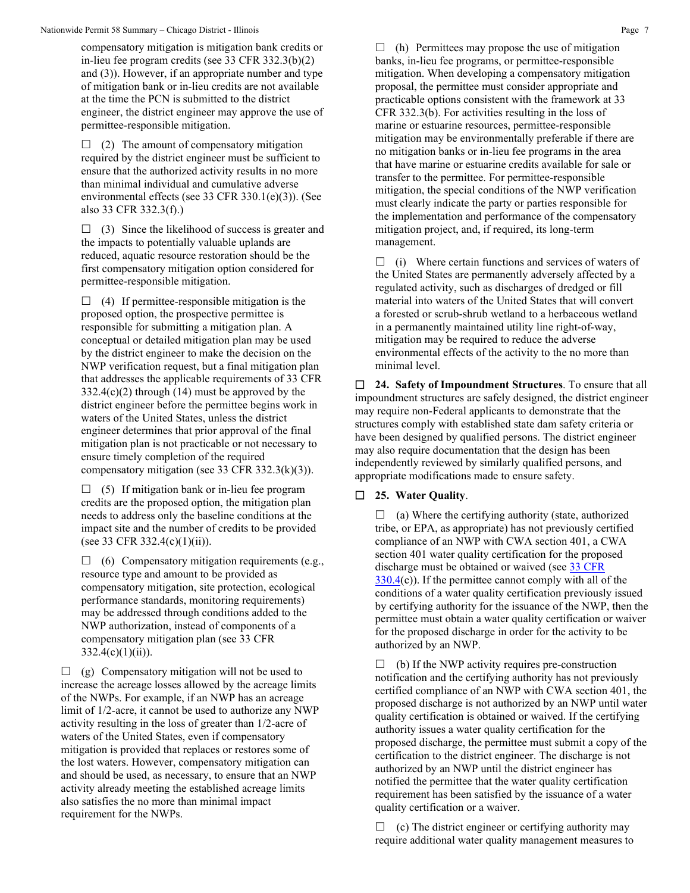compensatory mitigation is mitigation bank credits or in-lieu fee program credits (see 33 CFR 332.3(b)(2) and (3)). However, if an appropriate number and type of mitigation bank or in-lieu credits are not available at the time the PCN is submitted to the district engineer, the district engineer may approve the use of permittee-responsible mitigation.

 $\Box$  (2) The amount of compensatory mitigation required by the district engineer must be sufficient to ensure that the authorized activity results in no more than minimal individual and cumulative adverse environmental effects (see 33 CFR 330.1(e)(3)). (See also 33 CFR 332.3(f).)

 $\Box$  (3) Since the likelihood of success is greater and the impacts to potentially valuable uplands are reduced, aquatic resource restoration should be the first compensatory mitigation option considered for permittee-responsible mitigation.

 $\Box$  (4) If permittee-responsible mitigation is the proposed option, the prospective permittee is responsible for submitting a mitigation plan. A conceptual or detailed mitigation plan may be used by the district engineer to make the decision on the NWP verification request, but a final mitigation plan that addresses the applicable requirements of 33 CFR  $332.4(c)(2)$  through (14) must be approved by the district engineer before the permittee begins work in waters of the United States, unless the district engineer determines that prior approval of the final mitigation plan is not practicable or not necessary to ensure timely completion of the required compensatory mitigation (see 33 CFR 332.3(k)(3)).

 $\Box$  (5) If mitigation bank or in-lieu fee program credits are the proposed option, the mitigation plan needs to address only the baseline conditions at the impact site and the number of credits to be provided (see 33 CFR 332.4(c)(1)(ii)).

 $\Box$  (6) Compensatory mitigation requirements (e.g., resource type and amount to be provided as compensatory mitigation, site protection, ecological performance standards, monitoring requirements) may be addressed through conditions added to the NWP authorization, instead of components of a compensatory mitigation plan (see 33 CFR  $332.4(c)(1)(ii)$ ).

 $\Box$  (g) Compensatory mitigation will not be used to increase the acreage losses allowed by the acreage limits of the NWPs. For example, if an NWP has an acreage limit of 1/2-acre, it cannot be used to authorize any NWP activity resulting in the loss of greater than 1/2-acre of waters of the United States, even if compensatory mitigation is provided that replaces or restores some of the lost waters. However, compensatory mitigation can and should be used, as necessary, to ensure that an NWP activity already meeting the established acreage limits also satisfies the no more than minimal impact requirement for the NWPs.

 $\Box$  (h) Permittees may propose the use of mitigation banks, in-lieu fee programs, or permittee-responsible mitigation. When developing a compensatory mitigation proposal, the permittee must consider appropriate and practicable options consistent with the framework at 33 CFR 332.3(b). For activities resulting in the loss of marine or estuarine resources, permittee-responsible mitigation may be environmentally preferable if there are no mitigation banks or in-lieu fee programs in the area that have marine or estuarine credits available for sale or transfer to the permittee. For permittee-responsible mitigation, the special conditions of the NWP verification must clearly indicate the party or parties responsible for the implementation and performance of the compensatory mitigation project, and, if required, its long-term management.

 $\Box$  (i) Where certain functions and services of waters of the United States are permanently adversely affected by a regulated activity, such as discharges of dredged or fill material into waters of the United States that will convert a forested or scrub-shrub wetland to a herbaceous wetland in a permanently maintained utility line right-of-way, mitigation may be required to reduce the adverse environmental effects of the activity to the no more than minimal level.

 **24. Safety of Impoundment Structures**. To ensure that all impoundment structures are safely designed, the district engineer may require non-Federal applicants to demonstrate that the structures comply with established state dam safety criteria or have been designed by qualified persons. The district engineer may also require documentation that the design has been independently reviewed by similarly qualified persons, and appropriate modifications made to ensure safety.

## **25. Water Quality**.

 $\Box$  (a) Where the certifying authority (state, authorized tribe, or EPA, as appropriate) has not previously certified compliance of an NWP with CWA section 401, a CWA section 401 water quality certification for the proposed discharge must be obtained or waived (see 33 CFR [330.4\(](https://www.federalregister.gov/select-citation/2021/01/13/33-CFR-330.4)c)). If the permittee cannot comply with all of the conditions of a water quality certification previously issued by certifying authority for the issuance of the NWP, then the permittee must obtain a water quality certification or waiver for the proposed discharge in order for the activity to be authorized by an NWP.

 $\Box$  (b) If the NWP activity requires pre-construction notification and the certifying authority has not previously certified compliance of an NWP with CWA section 401, the proposed discharge is not authorized by an NWP until water quality certification is obtained or waived. If the certifying authority issues a water quality certification for the proposed discharge, the permittee must submit a copy of the certification to the district engineer. The discharge is not authorized by an NWP until the district engineer has notified the permittee that the water quality certification requirement has been satisfied by the issuance of a water quality certification or a waiver.

 $\Box$  (c) The district engineer or certifying authority may require additional water quality management measures to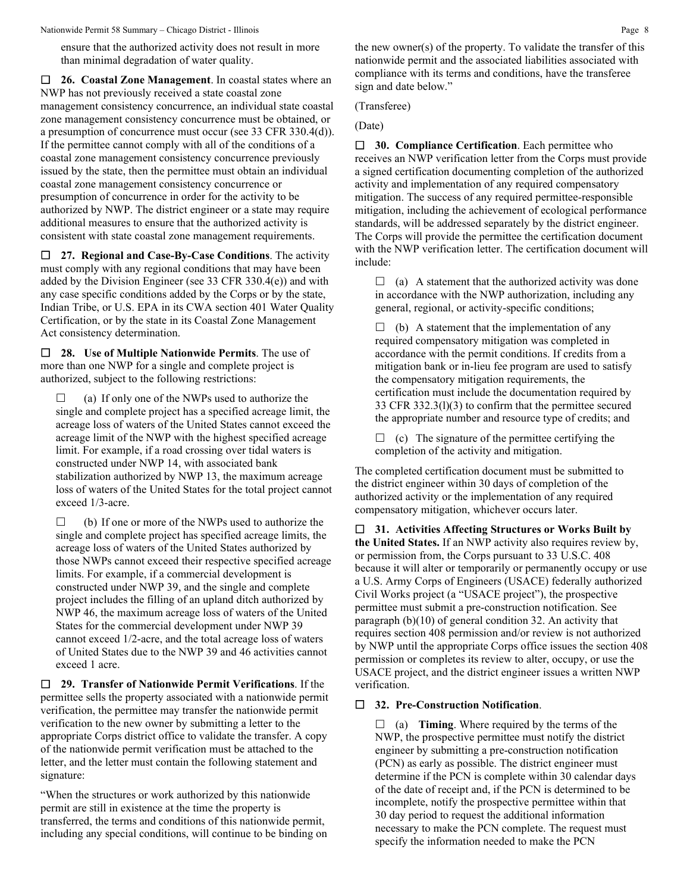ensure that the authorized activity does not result in more than minimal degradation of water quality.

 **26. Coastal Zone Management**. In coastal states where an NWP has not previously received a state coastal zone management consistency concurrence, an individual state coastal zone management consistency concurrence must be obtained, or a presumption of concurrence must occur (see 33 CFR 330.4(d)). If the permittee cannot comply with all of the conditions of a coastal zone management consistency concurrence previously issued by the state, then the permittee must obtain an individual coastal zone management consistency concurrence or presumption of concurrence in order for the activity to be authorized by NWP. The district engineer or a state may require additional measures to ensure that the authorized activity is consistent with state coastal zone management requirements.

 **27. Regional and Case-By-Case Conditions**. The activity must comply with any regional conditions that may have been added by the Division Engineer (see 33 CFR 330.4(e)) and with any case specific conditions added by the Corps or by the state, Indian Tribe, or U.S. EPA in its CWA section 401 Water Quality Certification, or by the state in its Coastal Zone Management Act consistency determination.

 **28. Use of Multiple Nationwide Permits**. The use of more than one NWP for a single and complete project is authorized, subject to the following restrictions:

 (a) If only one of the NWPs used to authorize the single and complete project has a specified acreage limit, the acreage loss of waters of the United States cannot exceed the acreage limit of the NWP with the highest specified acreage limit. For example, if a road crossing over tidal waters is constructed under NWP 14, with associated bank stabilization authorized by NWP 13, the maximum acreage loss of waters of the United States for the total project cannot exceed 1/3-acre.

 $\Box$  (b) If one or more of the NWPs used to authorize the single and complete project has specified acreage limits, the acreage loss of waters of the United States authorized by those NWPs cannot exceed their respective specified acreage limits. For example, if a commercial development is constructed under NWP 39, and the single and complete project includes the filling of an upland ditch authorized by NWP 46, the maximum acreage loss of waters of the United States for the commercial development under NWP 39 cannot exceed 1/2-acre, and the total acreage loss of waters of United States due to the NWP 39 and 46 activities cannot exceed 1 acre.

 **29. Transfer of Nationwide Permit Verifications**. If the permittee sells the property associated with a nationwide permit verification, the permittee may transfer the nationwide permit verification to the new owner by submitting a letter to the appropriate Corps district office to validate the transfer. A copy of the nationwide permit verification must be attached to the letter, and the letter must contain the following statement and signature:

"When the structures or work authorized by this nationwide permit are still in existence at the time the property is transferred, the terms and conditions of this nationwide permit, including any special conditions, will continue to be binding on (Transferee)

sign and date below."

(Date)

 **30. Compliance Certification**. Each permittee who receives an NWP verification letter from the Corps must provide a signed certification documenting completion of the authorized activity and implementation of any required compensatory mitigation. The success of any required permittee-responsible mitigation, including the achievement of ecological performance standards, will be addressed separately by the district engineer. The Corps will provide the permittee the certification document with the NWP verification letter. The certification document will include:

 $\Box$  (a) A statement that the authorized activity was done in accordance with the NWP authorization, including any general, regional, or activity-specific conditions;

 $\Box$  (b) A statement that the implementation of any required compensatory mitigation was completed in accordance with the permit conditions. If credits from a mitigation bank or in-lieu fee program are used to satisfy the compensatory mitigation requirements, the certification must include the documentation required by 33 CFR 332.3(l)(3) to confirm that the permittee secured the appropriate number and resource type of credits; and

 $\Box$  (c) The signature of the permittee certifying the completion of the activity and mitigation.

The completed certification document must be submitted to the district engineer within 30 days of completion of the authorized activity or the implementation of any required compensatory mitigation, whichever occurs later.

 **31. Activities Affecting Structures or Works Built by the United States.** If an NWP activity also requires review by, or permission from, the Corps pursuant to 33 U.S.C. 408 because it will alter or temporarily or permanently occupy or use a U.S. Army Corps of Engineers (USACE) federally authorized Civil Works project (a "USACE project"), the prospective permittee must submit a pre-construction notification. See paragraph (b)(10) of general condition 32. An activity that requires section 408 permission and/or review is not authorized by NWP until the appropriate Corps office issues the section 408 permission or completes its review to alter, occupy, or use the USACE project, and the district engineer issues a written NWP verification.

## **32. Pre-Construction Notification**.

 $\Box$  (a) **Timing**. Where required by the terms of the NWP, the prospective permittee must notify the district engineer by submitting a pre-construction notification (PCN) as early as possible. The district engineer must determine if the PCN is complete within 30 calendar days of the date of receipt and, if the PCN is determined to be incomplete, notify the prospective permittee within that 30 day period to request the additional information necessary to make the PCN complete. The request must specify the information needed to make the PCN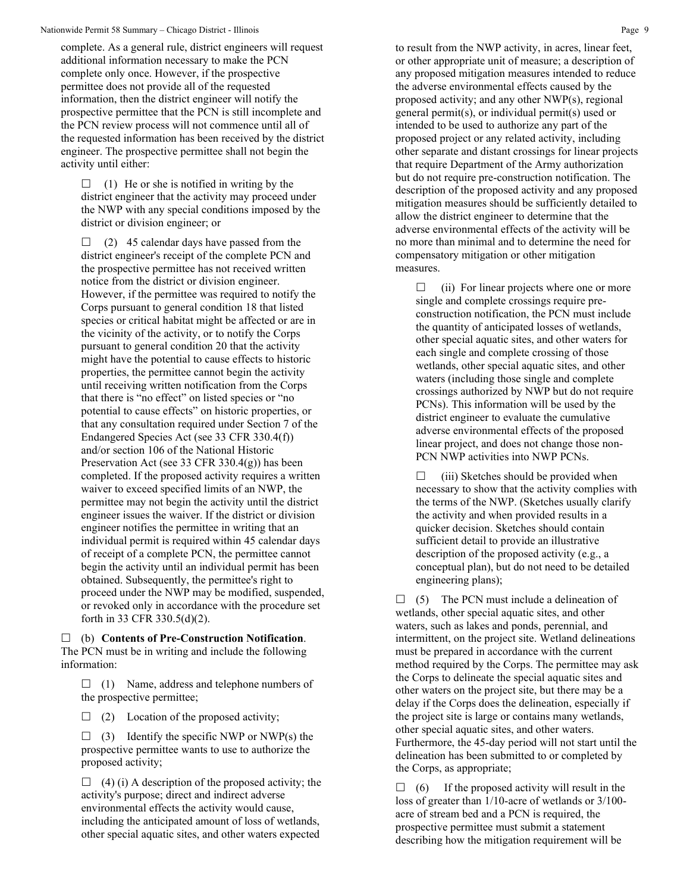complete. As a general rule, district engineers will request additional information necessary to make the PCN complete only once. However, if the prospective permittee does not provide all of the requested information, then the district engineer will notify the prospective permittee that the PCN is still incomplete and the PCN review process will not commence until all of the requested information has been received by the district engineer. The prospective permittee shall not begin the activity until either:

 $\Box$  (1) He or she is notified in writing by the district engineer that the activity may proceed under the NWP with any special conditions imposed by the district or division engineer; or

 $\Box$  (2) 45 calendar days have passed from the district engineer's receipt of the complete PCN and the prospective permittee has not received written notice from the district or division engineer. However, if the permittee was required to notify the Corps pursuant to general condition 18 that listed species or critical habitat might be affected or are in the vicinity of the activity, or to notify the Corps pursuant to general condition 20 that the activity might have the potential to cause effects to historic properties, the permittee cannot begin the activity until receiving written notification from the Corps that there is "no effect" on listed species or "no potential to cause effects" on historic properties, or that any consultation required under Section 7 of the Endangered Species Act (see 33 CFR 330.4(f)) and/or section 106 of the National Historic Preservation Act (see 33 CFR 330.4(g)) has been completed. If the proposed activity requires a written waiver to exceed specified limits of an NWP, the permittee may not begin the activity until the district engineer issues the waiver. If the district or division engineer notifies the permittee in writing that an individual permit is required within 45 calendar days of receipt of a complete PCN, the permittee cannot begin the activity until an individual permit has been obtained. Subsequently, the permittee's right to proceed under the NWP may be modified, suspended, or revoked only in accordance with the procedure set forth in 33 CFR 330.5(d)(2).

 (b) **Contents of Pre-Construction Notification**. The PCN must be in writing and include the following information:

 $\Box$  (1) Name, address and telephone numbers of the prospective permittee;

 $\Box$  (2) Location of the proposed activity;

 $\Box$  (3) Identify the specific NWP or NWP(s) the prospective permittee wants to use to authorize the proposed activity;

 $\Box$  (4) (i) A description of the proposed activity; the activity's purpose; direct and indirect adverse environmental effects the activity would cause, including the anticipated amount of loss of wetlands, other special aquatic sites, and other waters expected

to result from the NWP activity, in acres, linear feet, or other appropriate unit of measure; a description of any proposed mitigation measures intended to reduce the adverse environmental effects caused by the proposed activity; and any other NWP(s), regional general permit(s), or individual permit(s) used or intended to be used to authorize any part of the proposed project or any related activity, including other separate and distant crossings for linear projects that require Department of the Army authorization but do not require pre-construction notification. The description of the proposed activity and any proposed mitigation measures should be sufficiently detailed to allow the district engineer to determine that the adverse environmental effects of the activity will be no more than minimal and to determine the need for compensatory mitigation or other mitigation measures.

 $\Box$  (ii) For linear projects where one or more single and complete crossings require preconstruction notification, the PCN must include the quantity of anticipated losses of wetlands, other special aquatic sites, and other waters for each single and complete crossing of those wetlands, other special aquatic sites, and other waters (including those single and complete crossings authorized by NWP but do not require PCNs). This information will be used by the district engineer to evaluate the cumulative adverse environmental effects of the proposed linear project, and does not change those non-PCN NWP activities into NWP PCNs.

 $\Box$  (iii) Sketches should be provided when necessary to show that the activity complies with the terms of the NWP. (Sketches usually clarify the activity and when provided results in a quicker decision. Sketches should contain sufficient detail to provide an illustrative description of the proposed activity (e.g., a conceptual plan), but do not need to be detailed engineering plans);

 $\Box$  (5) The PCN must include a delineation of wetlands, other special aquatic sites, and other waters, such as lakes and ponds, perennial, and intermittent, on the project site. Wetland delineations must be prepared in accordance with the current method required by the Corps. The permittee may ask the Corps to delineate the special aquatic sites and other waters on the project site, but there may be a delay if the Corps does the delineation, especially if the project site is large or contains many wetlands, other special aquatic sites, and other waters. Furthermore, the 45-day period will not start until the delineation has been submitted to or completed by the Corps, as appropriate;

 $\Box$  (6) If the proposed activity will result in the loss of greater than 1/10-acre of wetlands or 3/100 acre of stream bed and a PCN is required, the prospective permittee must submit a statement describing how the mitigation requirement will be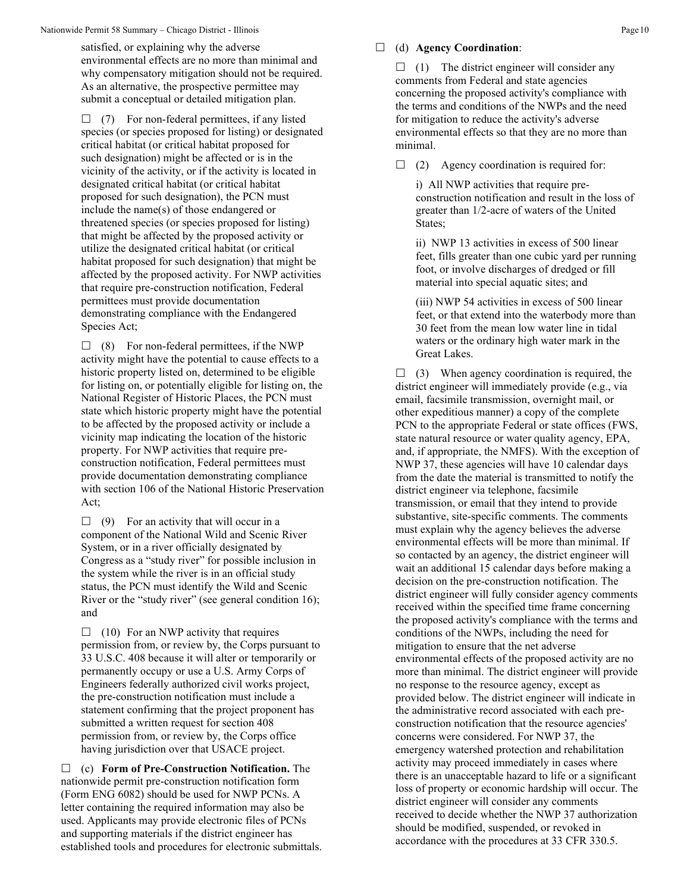satisfied, or explaining why the adverse environmental effects are no more than minimal and why compensatory mitigation should not be required. As an alternative, the prospective permittee may submit a conceptual or detailed mitigation plan.

 $\Box$  (7) For non-federal permittees, if any listed species (or species proposed for listing) or designated critical habitat (or critical habitat proposed for such designation) might be affected or is in the vicinity of the activity, or if the activity is located in designated critical habitat (or critical habitat proposed for such designation), the PCN must include the name(s) of those endangered or threatened species (or species proposed for listing) that might be affected by the proposed activity or utilize the designated critical habitat (or critical habitat proposed for such designation) that might be affected by the proposed activity. For NWP activities that require pre-construction notification, Federal permittees must provide documentation demonstrating compliance with the Endangered Species Act;

 $\Box$  (8) For non-federal permittees, if the NWP activity might have the potential to cause effects to a historic property listed on, determined to be eligible for listing on, or potentially eligible for listing on, the National Register of Historic Places, the PCN must state which historic property might have the potential to be affected by the proposed activity or include a vicinity map indicating the location of the historic property. For NWP activities that require preconstruction notification, Federal permittees must provide documentation demonstrating compliance with section 106 of the National Historic Preservation Act;

 $\Box$  (9) For an activity that will occur in a component of the National Wild and Scenic River System, or in a river officially designated by Congress as a "study river" for possible inclusion in the system while the river is in an official study status, the PCN must identify the Wild and Scenic River or the "study river" (see general condition 16); and

 $\Box$  (10) For an NWP activity that requires permission from, or review by, the Corps pursuant to 33 U.S.C. 408 because it will alter or temporarily or permanently occupy or use a U.S. Army Corps of Engineers federally authorized civil works project, the pre-construction notification must include a statement confirming that the project proponent has submitted a written request for section 408 permission from, or review by, the Corps office having jurisdiction over that USACE project.

 (c) **Form of Pre-Construction Notification.** The nationwide permit pre-construction notification form (Form ENG 6082) should be used for NWP PCNs. A letter containing the required information may also be used. Applicants may provide electronic files of PCNs and supporting materials if the district engineer has established tools and procedures for electronic submittals.

#### (d) **Agency Coordination**:

 $\Box$  (1) The district engineer will consider any comments from Federal and state agencies concerning the proposed activity's compliance with the terms and conditions of the NWPs and the need for mitigation to reduce the activity's adverse environmental effects so that they are no more than minimal.

 $\Box$  (2) Agency coordination is required for:

i) All NWP activities that require preconstruction notification and result in the loss of greater than 1/2-acre of waters of the United States;

ii) NWP 13 activities in excess of 500 linear feet, fills greater than one cubic yard per running foot, or involve discharges of dredged or fill material into special aquatic sites; and

(iii) NWP 54 activities in excess of 500 linear feet, or that extend into the waterbody more than 30 feet from the mean low water line in tidal waters or the ordinary high water mark in the Great Lakes.

 $\Box$  (3) When agency coordination is required, the district engineer will immediately provide (e.g., via email, facsimile transmission, overnight mail, or other expeditious manner) a copy of the complete PCN to the appropriate Federal or state offices (FWS, state natural resource or water quality agency, EPA, and, if appropriate, the NMFS). With the exception of NWP 37, these agencies will have 10 calendar days from the date the material is transmitted to notify the district engineer via telephone, facsimile transmission, or email that they intend to provide substantive, site-specific comments. The comments must explain why the agency believes the adverse environmental effects will be more than minimal. If so contacted by an agency, the district engineer will wait an additional 15 calendar days before making a decision on the pre-construction notification. The district engineer will fully consider agency comments received within the specified time frame concerning the proposed activity's compliance with the terms and conditions of the NWPs, including the need for mitigation to ensure that the net adverse environmental effects of the proposed activity are no more than minimal. The district engineer will provide no response to the resource agency, except as provided below. The district engineer will indicate in the administrative record associated with each preconstruction notification that the resource agencies' concerns were considered. For NWP 37, the emergency watershed protection and rehabilitation activity may proceed immediately in cases where there is an unacceptable hazard to life or a significant loss of property or economic hardship will occur. The district engineer will consider any comments received to decide whether the NWP 37 authorization should be modified, suspended, or revoked in accordance with the procedures at 33 CFR 330.5.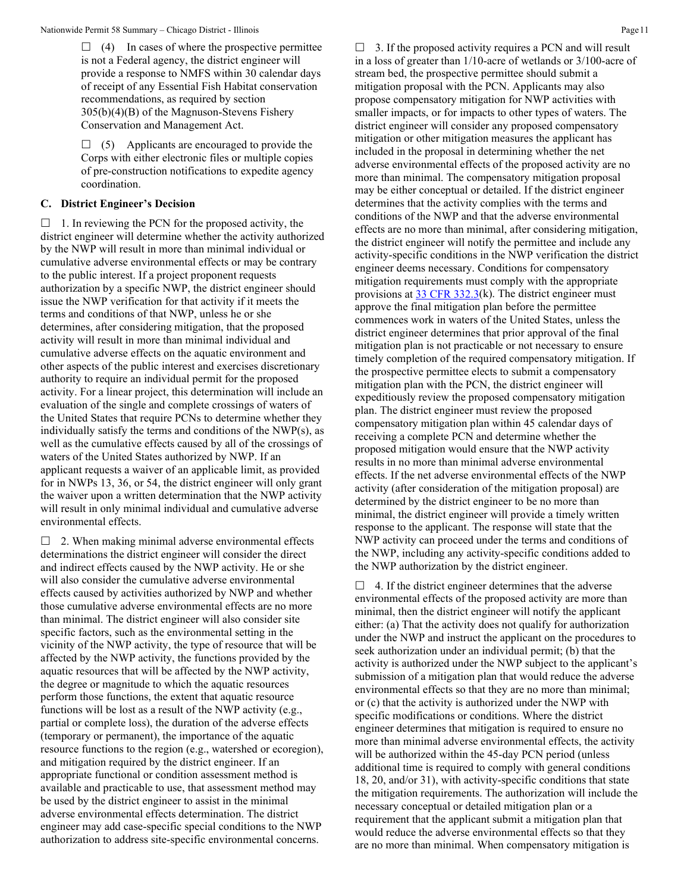$\Box$  (4) In cases of where the prospective permittee is not a Federal agency, the district engineer will provide a response to NMFS within 30 calendar days of receipt of any Essential Fish Habitat conservation recommendations, as required by section 305(b)(4)(B) of the Magnuson-Stevens Fishery Conservation and Management Act.

 $\Box$  (5) Applicants are encouraged to provide the Corps with either electronic files or multiple copies of pre-construction notifications to expedite agency coordination.

## **C. District Engineer's Decision**

 $\Box$  1. In reviewing the PCN for the proposed activity, the district engineer will determine whether the activity authorized by the NWP will result in more than minimal individual or cumulative adverse environmental effects or may be contrary to the public interest. If a project proponent requests authorization by a specific NWP, the district engineer should issue the NWP verification for that activity if it meets the terms and conditions of that NWP, unless he or she determines, after considering mitigation, that the proposed activity will result in more than minimal individual and cumulative adverse effects on the aquatic environment and other aspects of the public interest and exercises discretionary authority to require an individual permit for the proposed activity. For a linear project, this determination will include an evaluation of the single and complete crossings of waters of the United States that require PCNs to determine whether they individually satisfy the terms and conditions of the NWP(s), as well as the cumulative effects caused by all of the crossings of waters of the United States authorized by NWP. If an applicant requests a waiver of an applicable limit, as provided for in NWPs 13, 36, or 54, the district engineer will only grant the waiver upon a written determination that the NWP activity will result in only minimal individual and cumulative adverse environmental effects.

 $\Box$  2. When making minimal adverse environmental effects determinations the district engineer will consider the direct and indirect effects caused by the NWP activity. He or she will also consider the cumulative adverse environmental effects caused by activities authorized by NWP and whether those cumulative adverse environmental effects are no more than minimal. The district engineer will also consider site specific factors, such as the environmental setting in the vicinity of the NWP activity, the type of resource that will be affected by the NWP activity, the functions provided by the aquatic resources that will be affected by the NWP activity, the degree or magnitude to which the aquatic resources perform those functions, the extent that aquatic resource functions will be lost as a result of the NWP activity (e.g., partial or complete loss), the duration of the adverse effects (temporary or permanent), the importance of the aquatic resource functions to the region (e.g., watershed or ecoregion), and mitigation required by the district engineer. If an appropriate functional or condition assessment method is available and practicable to use, that assessment method may be used by the district engineer to assist in the minimal adverse environmental effects determination. The district engineer may add case-specific special conditions to the NWP authorization to address site-specific environmental concerns.

 $\Box$  3. If the proposed activity requires a PCN and will result in a loss of greater than 1/10-acre of wetlands or 3/100-acre of stream bed, the prospective permittee should submit a mitigation proposal with the PCN. Applicants may also propose compensatory mitigation for NWP activities with smaller impacts, or for impacts to other types of waters. The district engineer will consider any proposed compensatory mitigation or other mitigation measures the applicant has included in the proposal in determining whether the net adverse environmental effects of the proposed activity are no more than minimal. The compensatory mitigation proposal may be either conceptual or detailed. If the district engineer determines that the activity complies with the terms and conditions of the NWP and that the adverse environmental effects are no more than minimal, after considering mitigation, the district engineer will notify the permittee and include any activity-specific conditions in the NWP verification the district engineer deems necessary. Conditions for compensatory mitigation requirements must comply with the appropriate provisions at [33 CFR 332.3\(](https://www.federalregister.gov/select-citation/2021/01/13/33-CFR-332.3)k). The district engineer must approve the final mitigation plan before the permittee commences work in waters of the United States, unless the district engineer determines that prior approval of the final mitigation plan is not practicable or not necessary to ensure timely completion of the required compensatory mitigation. If the prospective permittee elects to submit a compensatory mitigation plan with the PCN, the district engineer will expeditiously review the proposed compensatory mitigation plan. The district engineer must review the proposed compensatory mitigation plan within 45 calendar days of receiving a complete PCN and determine whether the proposed mitigation would ensure that the NWP activity results in no more than minimal adverse environmental effects. If the net adverse environmental effects of the NWP activity (after consideration of the mitigation proposal) are determined by the district engineer to be no more than minimal, the district engineer will provide a timely written response to the applicant. The response will state that the NWP activity can proceed under the terms and conditions of the NWP, including any activity-specific conditions added to the NWP authorization by the district engineer.

 $\Box$  4. If the district engineer determines that the adverse environmental effects of the proposed activity are more than minimal, then the district engineer will notify the applicant either: (a) That the activity does not qualify for authorization under the NWP and instruct the applicant on the procedures to seek authorization under an individual permit; (b) that the activity is authorized under the NWP subject to the applicant's submission of a mitigation plan that would reduce the adverse environmental effects so that they are no more than minimal; or (c) that the activity is authorized under the NWP with specific modifications or conditions. Where the district engineer determines that mitigation is required to ensure no more than minimal adverse environmental effects, the activity will be authorized within the 45-day PCN period (unless additional time is required to comply with general conditions 18, 20, and/or 31), with activity-specific conditions that state the mitigation requirements. The authorization will include the necessary conceptual or detailed mitigation plan or a requirement that the applicant submit a mitigation plan that would reduce the adverse environmental effects so that they are no more than minimal. When compensatory mitigation is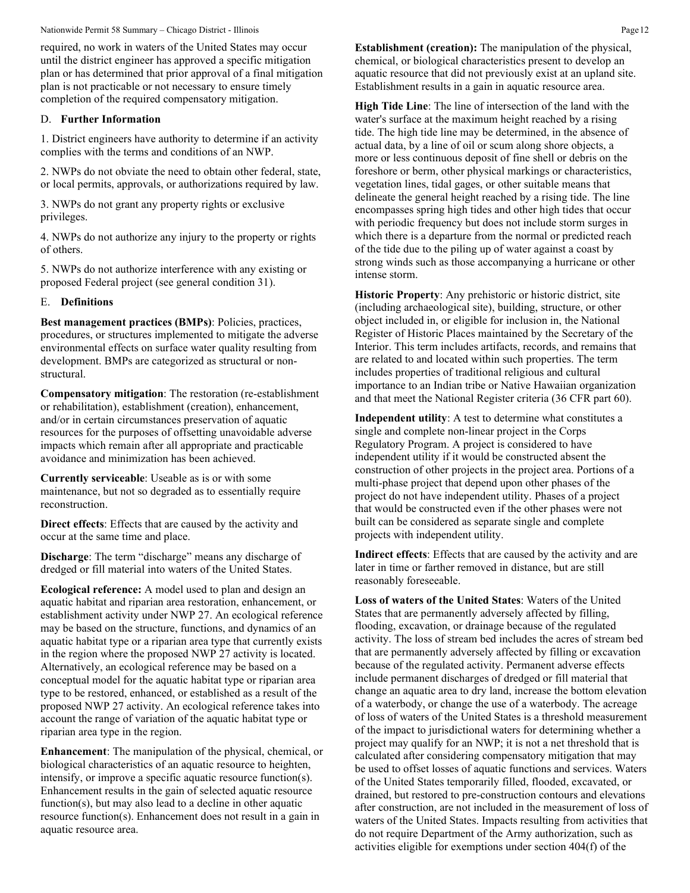required, no work in waters of the United States may occur until the district engineer has approved a specific mitigation plan or has determined that prior approval of a final mitigation plan is not practicable or not necessary to ensure timely completion of the required compensatory mitigation.

## D. **Further Information**

1. District engineers have authority to determine if an activity complies with the terms and conditions of an NWP.

2. NWPs do not obviate the need to obtain other federal, state, or local permits, approvals, or authorizations required by law.

3. NWPs do not grant any property rights or exclusive privileges.

4. NWPs do not authorize any injury to the property or rights of others.

5. NWPs do not authorize interference with any existing or proposed Federal project (see general condition 31).

## E. **Definitions**

**Best management practices (BMPs)**: Policies, practices, procedures, or structures implemented to mitigate the adverse environmental effects on surface water quality resulting from development. BMPs are categorized as structural or nonstructural.

**Compensatory mitigation**: The restoration (re-establishment or rehabilitation), establishment (creation), enhancement, and/or in certain circumstances preservation of aquatic resources for the purposes of offsetting unavoidable adverse impacts which remain after all appropriate and practicable avoidance and minimization has been achieved.

**Currently serviceable**: Useable as is or with some maintenance, but not so degraded as to essentially require reconstruction.

**Direct effects**: Effects that are caused by the activity and occur at the same time and place.

**Discharge**: The term "discharge" means any discharge of dredged or fill material into waters of the United States.

**Ecological reference:** A model used to plan and design an aquatic habitat and riparian area restoration, enhancement, or establishment activity under NWP 27. An ecological reference may be based on the structure, functions, and dynamics of an aquatic habitat type or a riparian area type that currently exists in the region where the proposed NWP 27 activity is located. Alternatively, an ecological reference may be based on a conceptual model for the aquatic habitat type or riparian area type to be restored, enhanced, or established as a result of the proposed NWP 27 activity. An ecological reference takes into account the range of variation of the aquatic habitat type or riparian area type in the region.

**Enhancement**: The manipulation of the physical, chemical, or biological characteristics of an aquatic resource to heighten, intensify, or improve a specific aquatic resource function(s). Enhancement results in the gain of selected aquatic resource function(s), but may also lead to a decline in other aquatic resource function(s). Enhancement does not result in a gain in aquatic resource area.

**Establishment (creation):** The manipulation of the physical, chemical, or biological characteristics present to develop an aquatic resource that did not previously exist at an upland site. Establishment results in a gain in aquatic resource area.

**High Tide Line**: The line of intersection of the land with the water's surface at the maximum height reached by a rising tide. The high tide line may be determined, in the absence of actual data, by a line of oil or scum along shore objects, a more or less continuous deposit of fine shell or debris on the foreshore or berm, other physical markings or characteristics, vegetation lines, tidal gages, or other suitable means that delineate the general height reached by a rising tide. The line encompasses spring high tides and other high tides that occur with periodic frequency but does not include storm surges in which there is a departure from the normal or predicted reach of the tide due to the piling up of water against a coast by strong winds such as those accompanying a hurricane or other intense storm.

**Historic Property**: Any prehistoric or historic district, site (including archaeological site), building, structure, or other object included in, or eligible for inclusion in, the National Register of Historic Places maintained by the Secretary of the Interior. This term includes artifacts, records, and remains that are related to and located within such properties. The term includes properties of traditional religious and cultural importance to an Indian tribe or Native Hawaiian organization and that meet the National Register criteria (36 CFR part 60).

**Independent utility**: A test to determine what constitutes a single and complete non-linear project in the Corps Regulatory Program. A project is considered to have independent utility if it would be constructed absent the construction of other projects in the project area. Portions of a multi-phase project that depend upon other phases of the project do not have independent utility. Phases of a project that would be constructed even if the other phases were not built can be considered as separate single and complete projects with independent utility.

**Indirect effects**: Effects that are caused by the activity and are later in time or farther removed in distance, but are still reasonably foreseeable.

**Loss of waters of the United States**: Waters of the United States that are permanently adversely affected by filling, flooding, excavation, or drainage because of the regulated activity. The loss of stream bed includes the acres of stream bed that are permanently adversely affected by filling or excavation because of the regulated activity. Permanent adverse effects include permanent discharges of dredged or fill material that change an aquatic area to dry land, increase the bottom elevation of a waterbody, or change the use of a waterbody. The acreage of loss of waters of the United States is a threshold measurement of the impact to jurisdictional waters for determining whether a project may qualify for an NWP; it is not a net threshold that is calculated after considering compensatory mitigation that may be used to offset losses of aquatic functions and services. Waters of the United States temporarily filled, flooded, excavated, or drained, but restored to pre-construction contours and elevations after construction, are not included in the measurement of loss of waters of the United States. Impacts resulting from activities that do not require Department of the Army authorization, such as activities eligible for exemptions under section 404(f) of the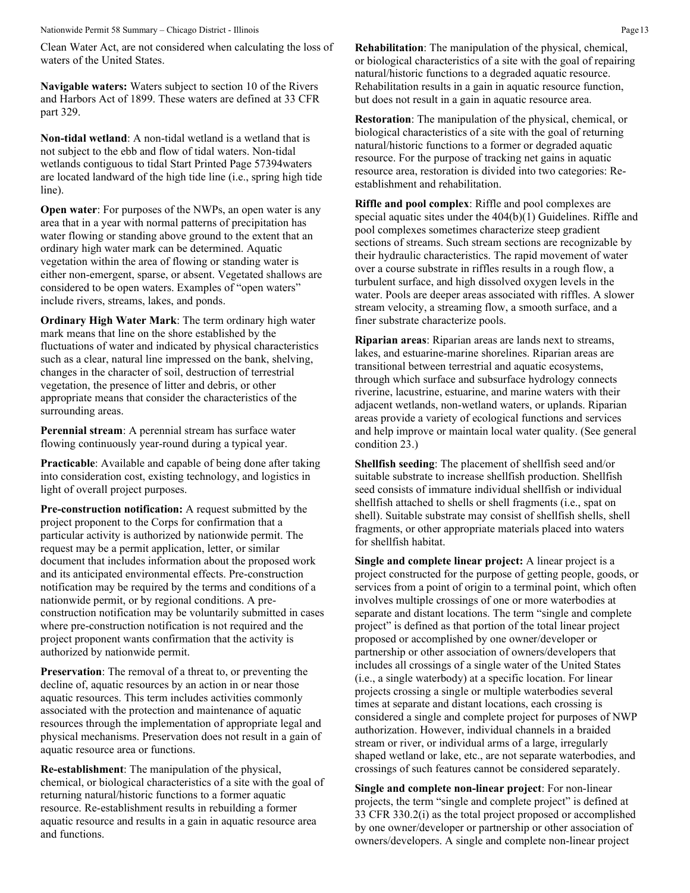Clean Water Act, are not considered when calculating the loss of waters of the United States.

**Navigable waters:** Waters subject to section 10 of the Rivers and Harbors Act of 1899. These waters are defined at 33 CFR part 329.

**Non-tidal wetland**: A non-tidal wetland is a wetland that is not subject to the ebb and flow of tidal waters. Non-tidal wetlands contiguous to tidal Start Printed Page 57394waters are located landward of the high tide line (i.e., spring high tide line).

**Open water:** For purposes of the NWPs, an open water is any area that in a year with normal patterns of precipitation has water flowing or standing above ground to the extent that an ordinary high water mark can be determined. Aquatic vegetation within the area of flowing or standing water is either non-emergent, sparse, or absent. Vegetated shallows are considered to be open waters. Examples of "open waters" include rivers, streams, lakes, and ponds.

**Ordinary High Water Mark**: The term ordinary high water mark means that line on the shore established by the fluctuations of water and indicated by physical characteristics such as a clear, natural line impressed on the bank, shelving, changes in the character of soil, destruction of terrestrial vegetation, the presence of litter and debris, or other appropriate means that consider the characteristics of the surrounding areas.

**Perennial stream**: A perennial stream has surface water flowing continuously year-round during a typical year.

**Practicable**: Available and capable of being done after taking into consideration cost, existing technology, and logistics in light of overall project purposes.

**Pre-construction notification:** A request submitted by the project proponent to the Corps for confirmation that a particular activity is authorized by nationwide permit. The request may be a permit application, letter, or similar document that includes information about the proposed work and its anticipated environmental effects. Pre-construction notification may be required by the terms and conditions of a nationwide permit, or by regional conditions. A preconstruction notification may be voluntarily submitted in cases where pre-construction notification is not required and the project proponent wants confirmation that the activity is authorized by nationwide permit.

**Preservation**: The removal of a threat to, or preventing the decline of, aquatic resources by an action in or near those aquatic resources. This term includes activities commonly associated with the protection and maintenance of aquatic resources through the implementation of appropriate legal and physical mechanisms. Preservation does not result in a gain of aquatic resource area or functions.

**Re-establishment**: The manipulation of the physical, chemical, or biological characteristics of a site with the goal of returning natural/historic functions to a former aquatic resource. Re-establishment results in rebuilding a former aquatic resource and results in a gain in aquatic resource area and functions.

**Rehabilitation**: The manipulation of the physical, chemical, or biological characteristics of a site with the goal of repairing natural/historic functions to a degraded aquatic resource. Rehabilitation results in a gain in aquatic resource function, but does not result in a gain in aquatic resource area.

**Restoration**: The manipulation of the physical, chemical, or biological characteristics of a site with the goal of returning natural/historic functions to a former or degraded aquatic resource. For the purpose of tracking net gains in aquatic resource area, restoration is divided into two categories: Reestablishment and rehabilitation.

**Riffle and pool complex**: Riffle and pool complexes are special aquatic sites under the 404(b)(1) Guidelines. Riffle and pool complexes sometimes characterize steep gradient sections of streams. Such stream sections are recognizable by their hydraulic characteristics. The rapid movement of water over a course substrate in riffles results in a rough flow, a turbulent surface, and high dissolved oxygen levels in the water. Pools are deeper areas associated with riffles. A slower stream velocity, a streaming flow, a smooth surface, and a finer substrate characterize pools.

**Riparian areas**: Riparian areas are lands next to streams, lakes, and estuarine-marine shorelines. Riparian areas are transitional between terrestrial and aquatic ecosystems, through which surface and subsurface hydrology connects riverine, lacustrine, estuarine, and marine waters with their adjacent wetlands, non-wetland waters, or uplands. Riparian areas provide a variety of ecological functions and services and help improve or maintain local water quality. (See general condition 23.)

**Shellfish seeding**: The placement of shellfish seed and/or suitable substrate to increase shellfish production. Shellfish seed consists of immature individual shellfish or individual shellfish attached to shells or shell fragments (i.e., spat on shell). Suitable substrate may consist of shellfish shells, shell fragments, or other appropriate materials placed into waters for shellfish habitat.

**Single and complete linear project:** A linear project is a project constructed for the purpose of getting people, goods, or services from a point of origin to a terminal point, which often involves multiple crossings of one or more waterbodies at separate and distant locations. The term "single and complete project" is defined as that portion of the total linear project proposed or accomplished by one owner/developer or partnership or other association of owners/developers that includes all crossings of a single water of the United States (i.e., a single waterbody) at a specific location. For linear projects crossing a single or multiple waterbodies several times at separate and distant locations, each crossing is considered a single and complete project for purposes of NWP authorization. However, individual channels in a braided stream or river, or individual arms of a large, irregularly shaped wetland or lake, etc., are not separate waterbodies, and crossings of such features cannot be considered separately.

**Single and complete non-linear project**: For non-linear projects, the term "single and complete project" is defined at 33 CFR 330.2(i) as the total project proposed or accomplished by one owner/developer or partnership or other association of owners/developers. A single and complete non-linear project